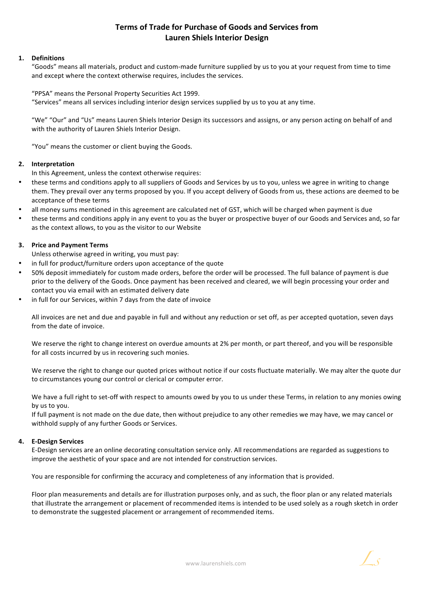# **Terms of Trade for Purchase of Goods and Services from Lauren Shiels Interior Design**

## **1. Definitions**

"Goods" means all materials, product and custom-made furniture supplied by us to you at your request from time to time and except where the context otherwise requires, includes the services.

"PPSA" means the Personal Property Securities Act 1999. "Services" means all services including interior design services supplied by us to you at any time.

"We" "Our" and "Us" means Lauren Shiels Interior Design its successors and assigns, or any person acting on behalf of and with the authority of Lauren Shiels Interior Design.

"You" means the customer or client buying the Goods.

## **2. Interpretation**

In this Agreement, unless the context otherwise requires:

- these terms and conditions apply to all suppliers of Goods and Services by us to you, unless we agree in writing to change them. They prevail over any terms proposed by you. If you accept delivery of Goods from us, these actions are deemed to be acceptance of these terms
- all money sums mentioned in this agreement are calculated net of GST, which will be charged when payment is due
- these terms and conditions apply in any event to you as the buyer or prospective buyer of our Goods and Services and, so far as the context allows, to you as the visitor to our Website

## **3. Price and Payment Terms**

Unless otherwise agreed in writing, you must pay:

- in full for product/furniture orders upon acceptance of the quote
- 50% deposit immediately for custom made orders, before the order will be processed. The full balance of payment is due prior to the delivery of the Goods. Once payment has been received and cleared, we will begin processing your order and contact you via email with an estimated delivery date
- in full for our Services, within 7 days from the date of invoice

All invoices are net and due and payable in full and without any reduction or set off, as per accepted quotation, seven days from the date of invoice.

We reserve the right to change interest on overdue amounts at 2% per month, or part thereof, and you will be responsible for all costs incurred by us in recovering such monies.

We reserve the right to change our quoted prices without notice if our costs fluctuate materially. We may alter the quote dur to circumstances young our control or clerical or computer error.

We have a full right to set-off with respect to amounts owed by you to us under these Terms, in relation to any monies owing by us to you.

If full payment is not made on the due date, then without prejudice to any other remedies we may have, we may cancel or withhold supply of any further Goods or Services.

#### **4. E-Design Services**

E-Design services are an online decorating consultation service only. All recommendations are regarded as suggestions to improve the aesthetic of your space and are not intended for construction services.

You are responsible for confirming the accuracy and completeness of any information that is provided.

Floor plan measurements and details are for illustration purposes only, and as such, the floor plan or any related materials that illustrate the arrangement or placement of recommended items is intended to be used solely as a rough sketch in order to demonstrate the suggested placement or arrangement of recommended items.

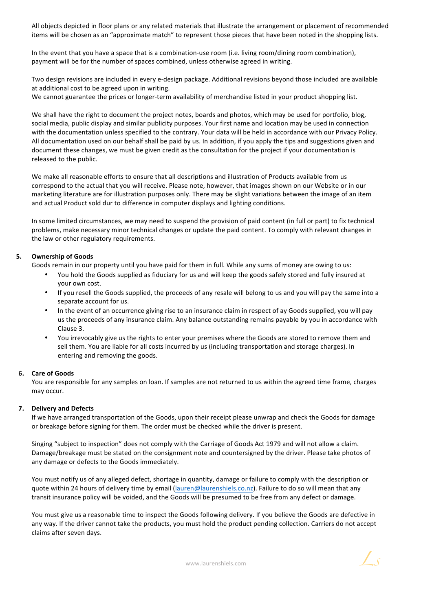All objects depicted in floor plans or any related materials that illustrate the arrangement or placement of recommended items will be chosen as an "approximate match" to represent those pieces that have been noted in the shopping lists.

In the event that you have a space that is a combination-use room (i.e. living room/dining room combination), payment will be for the number of spaces combined, unless otherwise agreed in writing.

Two design revisions are included in every e-design package. Additional revisions beyond those included are available at additional cost to be agreed upon in writing.

We cannot guarantee the prices or longer-term availability of merchandise listed in your product shopping list.

We shall have the right to document the project notes, boards and photos, which may be used for portfolio, blog, social media, public display and similar publicity purposes. Your first name and location may be used in connection with the documentation unless specified to the contrary. Your data will be held in accordance with our Privacy Policy. All documentation used on our behalf shall be paid by us. In addition, if you apply the tips and suggestions given and document these changes, we must be given credit as the consultation for the project if your documentation is released to the public.

We make all reasonable efforts to ensure that all descriptions and illustration of Products available from us correspond to the actual that you will receive. Please note, however, that images shown on our Website or in our marketing literature are for illustration purposes only. There may be slight variations between the image of an item and actual Product sold dur to difference in computer displays and lighting conditions.

In some limited circumstances, we may need to suspend the provision of paid content (in full or part) to fix technical problems, make necessary minor technical changes or update the paid content. To comply with relevant changes in the law or other regulatory requirements.

#### **5.** Ownership of Goods

Goods remain in our property until you have paid for them in full. While any sums of money are owing to us:

- You hold the Goods supplied as fiduciary for us and will keep the goods safely stored and fully insured at your own cost.
- If you resell the Goods supplied, the proceeds of any resale will belong to us and you will pay the same into a separate account for us.
- In the event of an occurrence giving rise to an insurance claim in respect of ay Goods supplied, you will pay us the proceeds of any insurance claim. Any balance outstanding remains payable by you in accordance with Clause 3.
- You irrevocably give us the rights to enter your premises where the Goods are stored to remove them and sell them. You are liable for all costs incurred by us (including transportation and storage charges). In entering and removing the goods.

#### **6. Care of Goods**

You are responsible for any samples on loan. If samples are not returned to us within the agreed time frame, charges may occur.

#### **7. Delivery and Defects**

If we have arranged transportation of the Goods, upon their receipt please unwrap and check the Goods for damage or breakage before signing for them. The order must be checked while the driver is present.

Singing "subject to inspection" does not comply with the Carriage of Goods Act 1979 and will not allow a claim. Damage/breakage must be stated on the consignment note and countersigned by the driver. Please take photos of any damage or defects to the Goods immediately.

You must notify us of any alleged defect, shortage in quantity, damage or failure to comply with the description or quote within 24 hours of delivery time by email (lauren@laurenshiels.co.nz). Failure to do so will mean that any transit insurance policy will be voided, and the Goods will be presumed to be free from any defect or damage.

You must give us a reasonable time to inspect the Goods following delivery. If you believe the Goods are defective in any way. If the driver cannot take the products, you must hold the product pending collection. Carriers do not accept claims after seven days.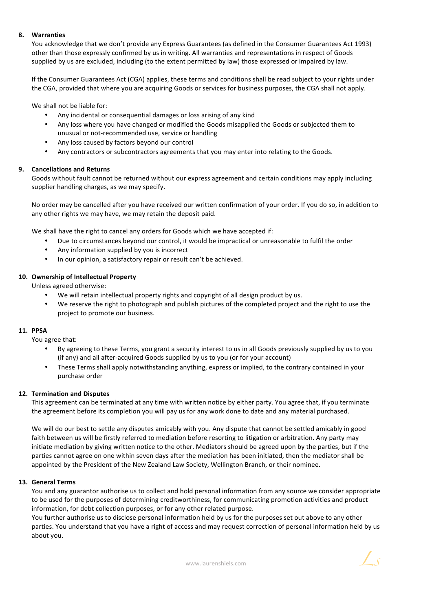#### **8. Warranties**

You acknowledge that we don't provide any Express Guarantees (as defined in the Consumer Guarantees Act 1993) other than those expressly confirmed by us in writing. All warranties and representations in respect of Goods supplied by us are excluded, including (to the extent permitted by law) those expressed or impaired by law.

If the Consumer Guarantees Act (CGA) applies, these terms and conditions shall be read subject to your rights under the CGA, provided that where you are acquiring Goods or services for business purposes, the CGA shall not apply.

We shall not be liable for:

- Any incidental or consequential damages or loss arising of any kind
- Any loss where you have changed or modified the Goods misapplied the Goods or subjected them to unusual or not-recommended use, service or handling
- Any loss caused by factors beyond our control
- Any contractors or subcontractors agreements that you may enter into relating to the Goods.

## **9. Cancellations and Returns**

Goods without fault cannot be returned without our express agreement and certain conditions may apply including supplier handling charges, as we may specify.

No order may be cancelled after you have received our written confirmation of your order. If you do so, in addition to any other rights we may have, we may retain the deposit paid.

We shall have the right to cancel any orders for Goods which we have accepted if:

- Due to circumstances beyond our control, it would be impractical or unreasonable to fulfil the order
- Any information supplied by you is incorrect
- In our opinion, a satisfactory repair or result can't be achieved.

## 10. Ownership of Intellectual Property

Unless agreed otherwise:

- We will retain intellectual property rights and copyright of all design product by us.
- We reserve the right to photograph and publish pictures of the completed project and the right to use the project to promote our business.

#### **11. PPSA**

You agree that:

- By agreeing to these Terms, you grant a security interest to us in all Goods previously supplied by us to you (if any) and all after-acquired Goods supplied by us to you (or for your account)
- These Terms shall apply notwithstanding anything, express or implied, to the contrary contained in your purchase order

#### **12. Termination and Disputes**

This agreement can be terminated at any time with written notice by either party. You agree that, if you terminate the agreement before its completion you will pay us for any work done to date and any material purchased.

We will do our best to settle any disputes amicably with you. Any dispute that cannot be settled amicably in good faith between us will be firstly referred to mediation before resorting to litigation or arbitration. Any party may initiate mediation by giving written notice to the other. Mediators should be agreed upon by the parties, but if the parties cannot agree on one within seven days after the mediation has been initiated, then the mediator shall be appointed by the President of the New Zealand Law Society, Wellington Branch, or their nominee.

#### **13. General Terms**

You and any guarantor authorise us to collect and hold personal information from any source we consider appropriate to be used for the purposes of determining creditworthiness, for communicating promotion activities and product information, for debt collection purposes, or for any other related purpose.

You further authorise us to disclose personal information held by us for the purposes set out above to any other parties. You understand that you have a right of access and may request correction of personal information held by us about you.